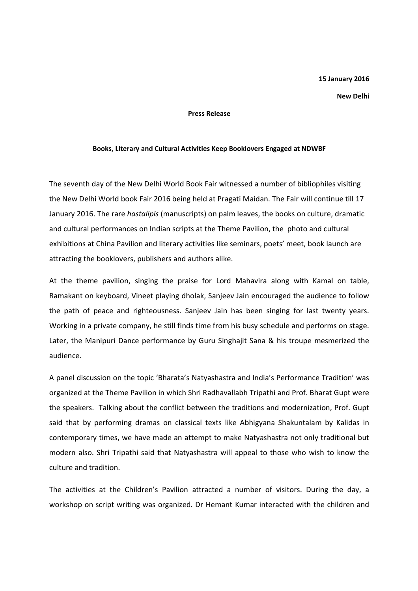## 15 January 2016

New Delhi

## Press Release

## Books, Literary and Cultural Activities Keep Booklovers Engaged at NDWBF

The seventh day of the New Delhi World Book Fair witnessed a number of bibliophiles visiting the New Delhi World book Fair 2016 being held at Pragati Maidan. The Fair will continue till 17 January 2016. The rare hastalipis (manuscripts) on palm leaves, the books on culture, dramatic and cultural performances on Indian scripts at the Theme Pavilion, the photo and cultural exhibitions at China Pavilion and literary activities like seminars, poets' meet, book launch are attracting the booklovers, publishers and authors alike.

At the theme pavilion, singing the praise for Lord Mahavira along with Kamal on table, Ramakant on keyboard, Vineet playing dholak, Sanjeev Jain encouraged the audience to follow the path of peace and righteousness. Sanjeev Jain has been singing for last twenty years. Working in a private company, he still finds time from his busy schedule and performs on stage. Later, the Manipuri Dance performance by Guru Singhajit Sana & his troupe mesmerized the audience.

A panel discussion on the topic 'Bharata's Natyashastra and India's Performance Tradition' was organized at the Theme Pavilion in which Shri Radhavallabh Tripathi and Prof. Bharat Gupt were the speakers. Talking about the conflict between the traditions and modernization, Prof. Gupt said that by performing dramas on classical texts like Abhigyana Shakuntalam by Kalidas in contemporary times, we have made an attempt to make Natyashastra not only traditional but modern also. Shri Tripathi said that Natyashastra will appeal to those who wish to know the culture and tradition.

The activities at the Children's Pavilion attracted a number of visitors. During the day, a workshop on script writing was organized. Dr Hemant Kumar interacted with the children and